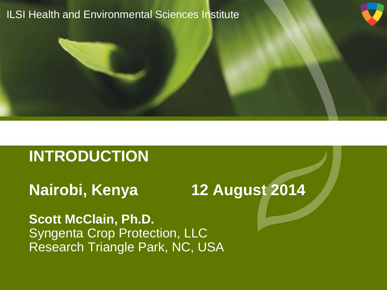#### ILSI Health and Environmental Sciences Institute

# **INTRODUCTION**

# **Nairobi, Kenya 12 August 2014**

**Scott McClain, Ph.D.** Syngenta Crop Protection, LLC Research Triangle Park, NC, USA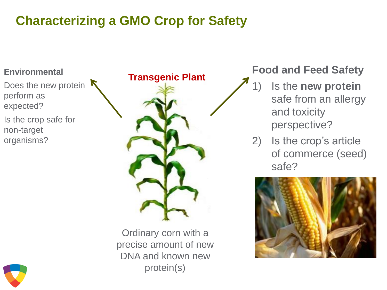# **Characterizing a GMO Crop for Safety**

#### **Environmental**

Does the new protein perform as expected?

Is the crop safe for non-target organisms?



Ordinary corn with a precise amount of new DNA and known new protein(s)

### **Food and Feed Safety**

- 1) Is the **new protein**  safe from an allergy and toxicity perspective?
- 2) Is the crop's article of commerce (seed) safe?



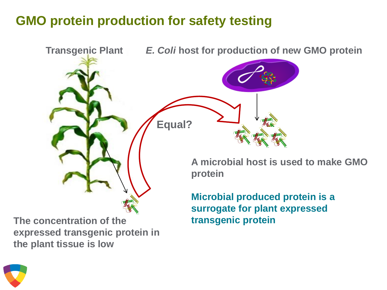## **GMO protein production for safety testing**



**The concentration of the expressed transgenic protein in the plant tissue is low**

**transgenic protein**

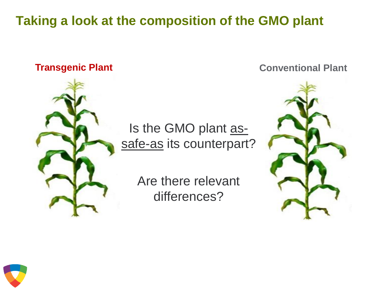# **Taking a look at the composition of the GMO plant**



Is the GMO plant assafe-as its counterpart?

> Are there relevant differences?

**Transgenic Plant Conventional Plant** 



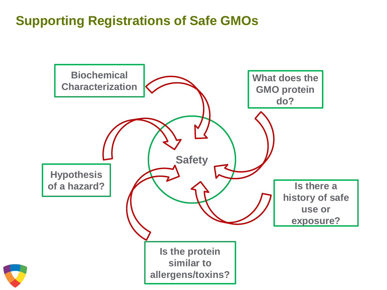# **Supporting Registrations of Safe GMOs**